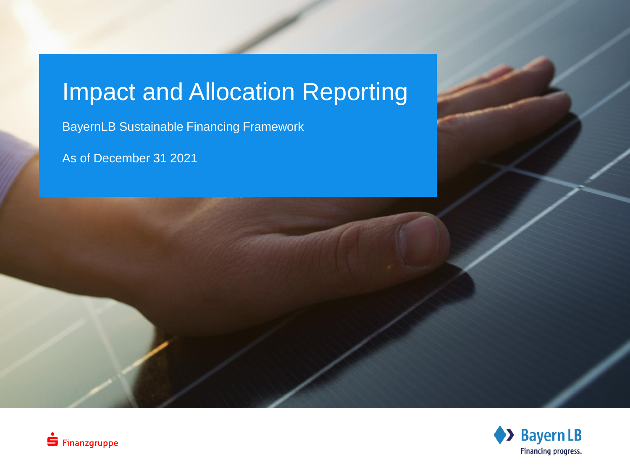## Impact and Allocation Reporting

BayernLB Sustainable Financing Framework

As of December 31 2021



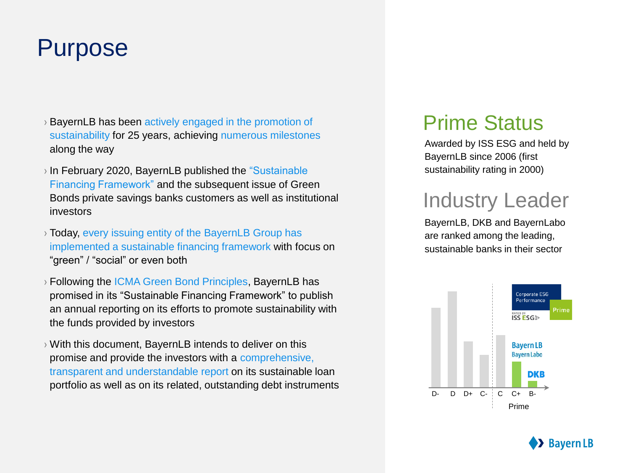#### Purpose

- › BayernLB has been actively engaged in the promotion of sustainability for 25 years, achieving numerous milestones along the way
- › In February 2020, BayernLB published the "Sustainable Financing Framework" and the subsequent issue of Green Bonds private savings banks customers as well as institutional investors
- › Today, every issuing entity of the BayernLB Group has implemented a sustainable financing framework with focus on "green" / "social" or even both
- › Following the ICMA Green Bond Principles, BayernLB has promised in its "Sustainable Financing Framework" to publish an annual reporting on its efforts to promote sustainability with the funds provided by investors
- › With this document, BayernLB intends to deliver on this promise and provide the investors with a comprehensive, transparent and understandable report on its sustainable loan portfolio as well as on its related, outstanding debt instruments

#### Prime Status

Awarded by ISS ESG and held by BayernLB since 2006 (first sustainability rating in 2000)

#### Industry Leader

BayernLB, DKB and BayernLabo are ranked among the leading, sustainable banks in their sector



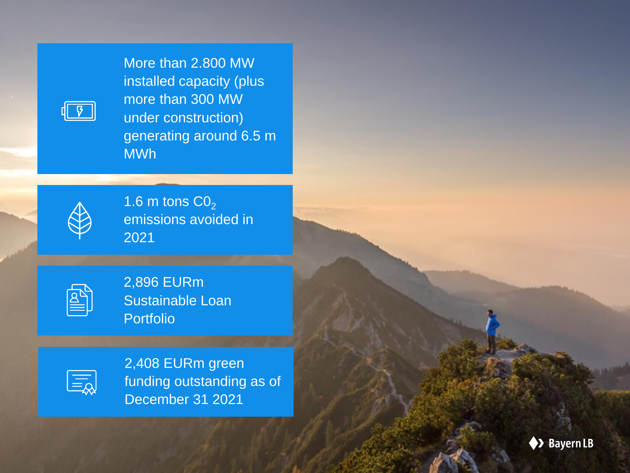More than 2.800 MW installed capacity (plus more than 300 MW under construction) generating around 6.5 m MWh



 $\sqrt{3}$ 

 $1.6$  m tons  $CO<sub>2</sub>$ emissions avoided in 2021

| ___<br>the control of the control of |
|--------------------------------------|
|                                      |

2,896 EURm Sustainable Loan Portfolio



2,408 EURm green funding outstanding as of December 31 2021

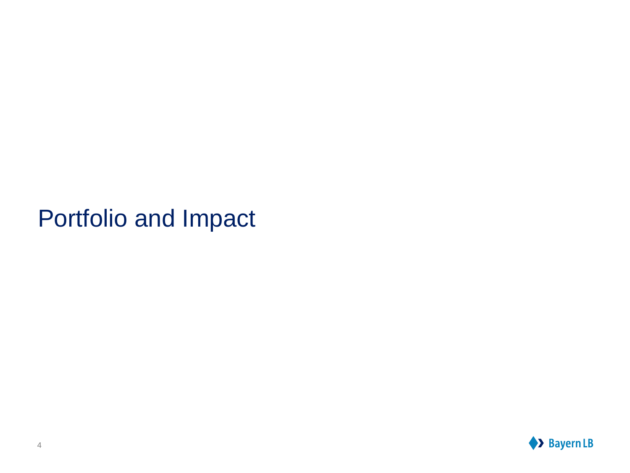## Portfolio and Impact

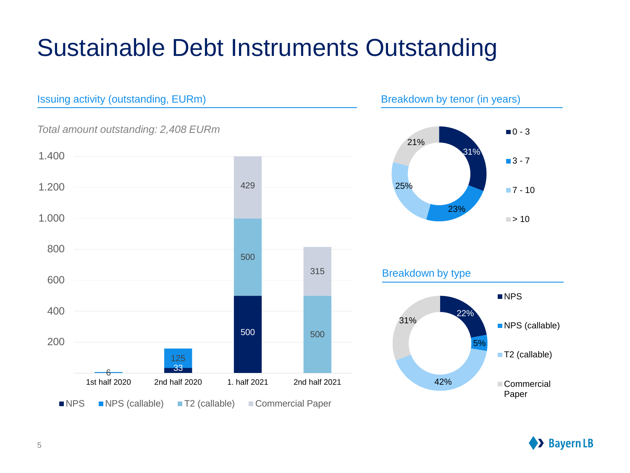# Sustainable Debt Instruments Outstanding



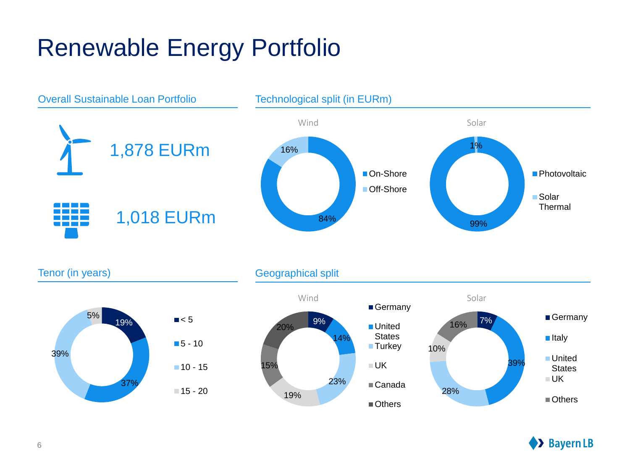# Renewable Energy Portfolio



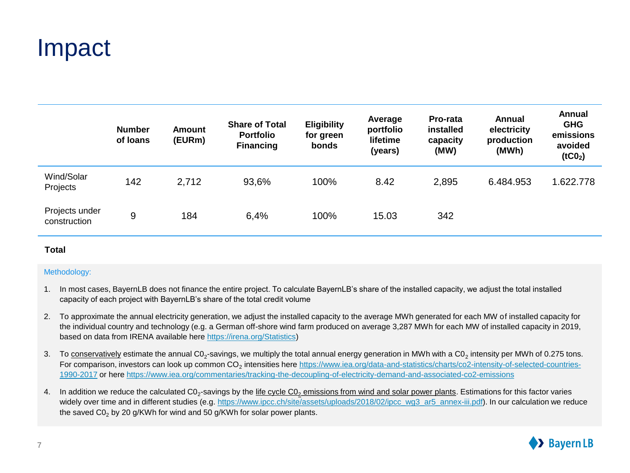#### Impact

|                                | <b>Number</b><br>of loans | <b>Amount</b><br>(EURm) | <b>Share of Total</b><br>Portfolio<br><b>Financing</b> | <b>Eligibility</b><br>for green<br><b>bonds</b> | Average<br>portfolio<br>lifetime<br>(years) | <b>Pro-rata</b><br>installed<br>capacity<br>(MW) | Annual<br>electricity<br>production<br>(MWh) | Annual<br><b>GHG</b><br>emissions<br>avoided<br>(tCO <sub>2</sub> ) |
|--------------------------------|---------------------------|-------------------------|--------------------------------------------------------|-------------------------------------------------|---------------------------------------------|--------------------------------------------------|----------------------------------------------|---------------------------------------------------------------------|
| Wind/Solar<br>Projects         | 142                       | 2,712                   | 93,6%                                                  | 100%                                            | 8.42                                        | 2,895                                            | 6.484.953                                    | 1.622.778                                                           |
| Projects under<br>construction | 9                         | 184                     | 6,4%                                                   | 100%                                            | 15.03                                       | 342                                              |                                              |                                                                     |

#### **Total**

#### Methodology:

- 1. In most cases, BayernLB does not finance the entire project. To calculate BayernLB's share of the installed capacity, we adjust the total installed capacity of each project with BayernLB's share of the total credit volume
- 2. To approximate the annual electricity generation, we adjust the installed capacity to the average MWh generated for each MW of installed capacity for the individual country and technology (e.g. a German off-shore wind farm produced on average 3,287 MWh for each MW of installed capacity in 2019, based on data from IRENA available here <https://irena.org/Statistics>)
- 3. To conservatively estimate the annual C0<sub>2</sub>-savings, we multiply the total annual energy generation in MWh with a C0<sub>2</sub> intensity per MWh of 0.275 tons. For comparison, investors can look up common CO<sub>2</sub> intensities here https://www.iea.org/data-and-statistics/charts/co2-intensity-of-selected-countries-1990-2017 [or here h](https://www.iea.org/data-and-statistics/charts/co2-intensity-of-selected-countries-1990-2017)[ttps://www.iea.org/commentaries/tracking-the-decoupling-of-electricity-demand-and-associated-co2-emissions](https://www.iea.org/commentaries/tracking-the-decoupling-of-electricity-demand-and-associated-co2-emissions)
- 4. In addition we reduce the calculated C0<sub>2</sub>-savings by the <u>life cycle C0<sub>2</sub> emissions from wind and solar power plants</u>. Estimations for this factor varies widely over time and in different studies (e.g. [https://www.ipcc.ch/site/assets/uploads/2018/02/ipcc\\_wg3\\_ar5\\_annex-iii.pdf\)](https://www.ipcc.ch/site/assets/uploads/2018/02/ipcc_wg3_ar5_annex-iii.pdf). In our calculation we reduce the saved  $CO<sub>2</sub>$  by 20 g/KWh for wind and 50 g/KWh for solar power plants.

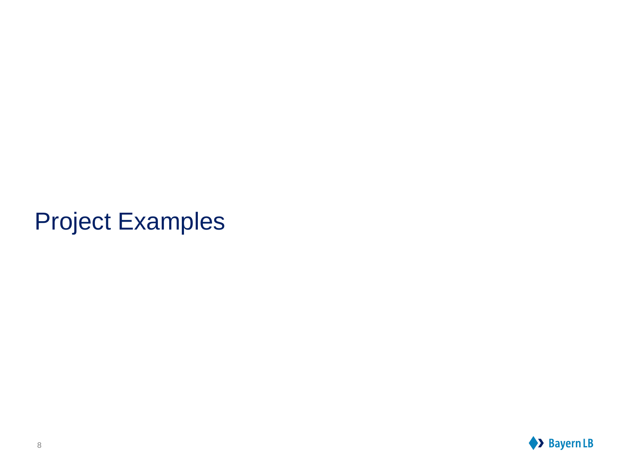## Project Examples

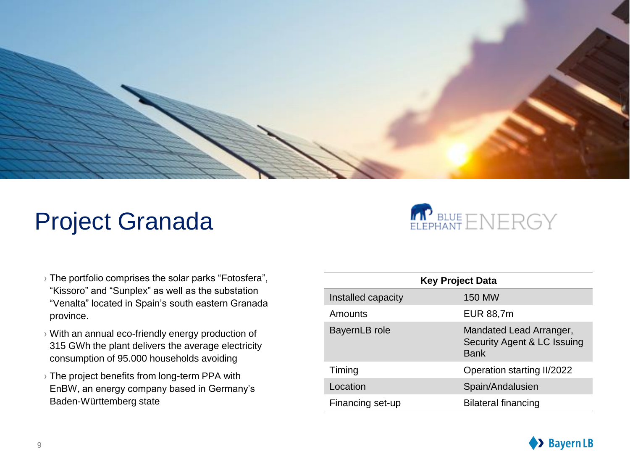

## Project Granada



- › The portfolio comprises the solar parks "Fotosfera", "Kissoro" and "Sunplex" as well as the substation "Venalta" located in Spain's south eastern Granada province.
- › With an annual eco-friendly energy production of 315 GWh the plant delivers the average electricity consumption of 95.000 households avoiding
- › The project benefits from long-term PPA with EnBW, an energy company based in Germany's Baden-Württemberg state

| <b>Key Project Data</b> |                                                                       |  |  |  |
|-------------------------|-----------------------------------------------------------------------|--|--|--|
| Installed capacity      | 150 MW                                                                |  |  |  |
| Amounts                 | EUR 88,7m                                                             |  |  |  |
| BayernLB role           | Mandated Lead Arranger,<br>Security Agent & LC Issuing<br><b>Bank</b> |  |  |  |
| Timing                  | Operation starting II/2022                                            |  |  |  |
| Location                | Spain/Andalusien                                                      |  |  |  |
| Financing set-up        | <b>Bilateral financing</b>                                            |  |  |  |

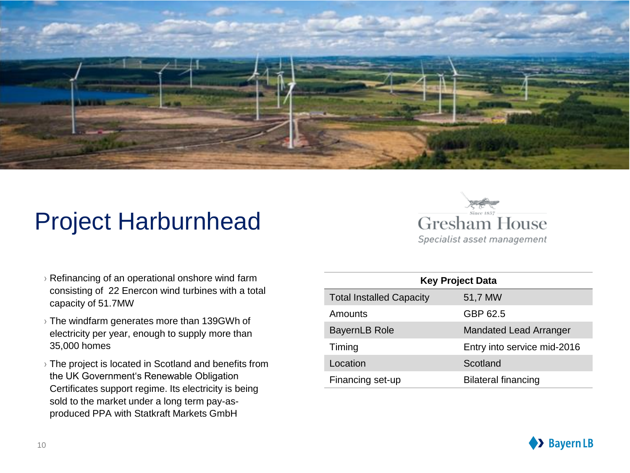

## Project Harburnhead



- $\rightarrow$  Refinancing of an operational onshore wind farm consisting of 22 Enercon wind turbines with a total capacity of 51.7MW
- › The windfarm generates more than 139GWh of electricity per year, enough to supply more than 35,000 homes
- › The project is located in Scotland and benefits from the UK Government's Renewable Obligation Certificates support regime. Its electricity is being sold to the market under a long term pay-asproduced PPA with Statkraft Markets GmbH

| <b>Key Project Data</b>         |                               |  |  |  |  |
|---------------------------------|-------------------------------|--|--|--|--|
| <b>Total Installed Capacity</b> | 51,7 MW                       |  |  |  |  |
| Amounts                         | GBP 62.5                      |  |  |  |  |
| <b>BayernLB Role</b>            | <b>Mandated Lead Arranger</b> |  |  |  |  |
| Timing                          | Entry into service mid-2016   |  |  |  |  |
| Location                        | Scotland                      |  |  |  |  |
| Financing set-up                | <b>Bilateral financing</b>    |  |  |  |  |